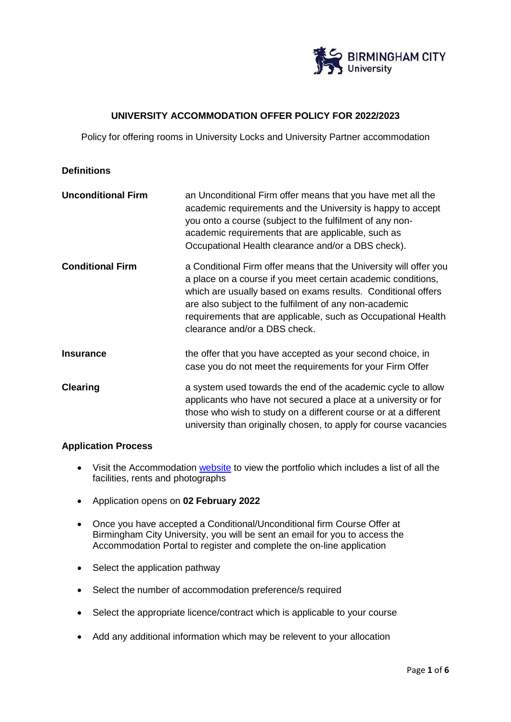

# **UNIVERSITY ACCOMMODATION OFFER POLICY FOR 2022/2023**

Policy for offering rooms in University Locks and University Partner accommodation

#### **Definitions**

| <b>Unconditional Firm</b> | an Unconditional Firm offer means that you have met all the<br>academic requirements and the University is happy to accept<br>you onto a course (subject to the fulfilment of any non-<br>academic requirements that are applicable, such as<br>Occupational Health clearance and/or a DBS check).                                                            |
|---------------------------|---------------------------------------------------------------------------------------------------------------------------------------------------------------------------------------------------------------------------------------------------------------------------------------------------------------------------------------------------------------|
| <b>Conditional Firm</b>   | a Conditional Firm offer means that the University will offer you<br>a place on a course if you meet certain academic conditions,<br>which are usually based on exams results. Conditional offers<br>are also subject to the fulfilment of any non-academic<br>requirements that are applicable, such as Occupational Health<br>clearance and/or a DBS check. |
| <b>Insurance</b>          | the offer that you have accepted as your second choice, in<br>case you do not meet the requirements for your Firm Offer                                                                                                                                                                                                                                       |
| <b>Clearing</b>           | a system used towards the end of the academic cycle to allow<br>applicants who have not secured a place at a university or for<br>those who wish to study on a different course or at a different<br>university than originally chosen, to apply for course vacancies                                                                                         |

#### **Application Process**

- Visit the Accommodation [website](https://www.bcu.ac.uk/student-info/accommodation) to view the portfolio which includes a list of all the facilities, rents and photographs
- Application opens on **02 February 2022**
- Once you have accepted a Conditional/Unconditional firm Course Offer at Birmingham City University, you will be sent an email for you to access the Accommodation Portal to register and complete the on-line application
- Select the application pathway
- Select the number of accommodation preference/s required
- Select the appropriate licence/contract which is applicable to your course
- Add any additional information which may be relevent to your allocation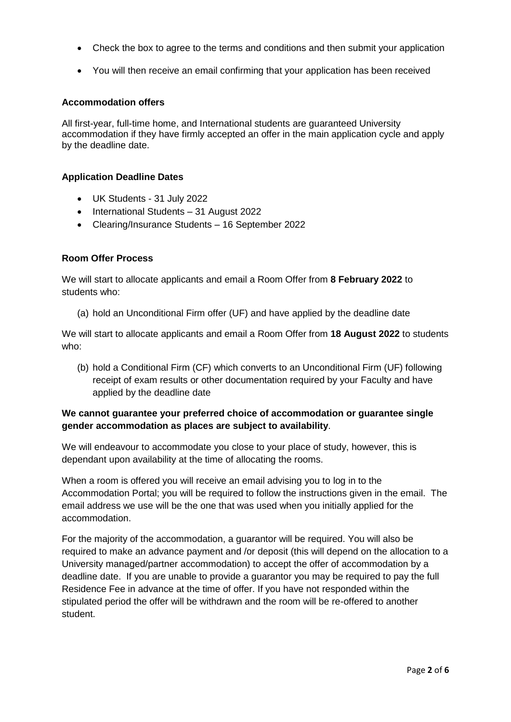- Check the box to agree to the terms and conditions and then submit your application
- You will then receive an email confirming that your application has been received

#### **Accommodation offers**

All first-year, full-time home, and International students are guaranteed University accommodation if they have firmly accepted an offer in the main application cycle and apply by the deadline date.

#### **Application Deadline Dates**

- UK Students 31 July 2022
- International Students 31 August 2022
- Clearing/Insurance Students 16 September 2022

## **Room Offer Process**

We will start to allocate applicants and email a Room Offer from **8 February 2022** to students who:

(a) hold an Unconditional Firm offer (UF) and have applied by the deadline date

We will start to allocate applicants and email a Room Offer from **18 August 2022** to students who:

(b) hold a Conditional Firm (CF) which converts to an Unconditional Firm (UF) following receipt of exam results or other documentation required by your Faculty and have applied by the deadline date

# **We cannot guarantee your preferred choice of accommodation or guarantee single gender accommodation as places are subject to availability**.

We will endeavour to accommodate you close to your place of study, however, this is dependant upon availability at the time of allocating the rooms.

When a room is offered you will receive an email advising you to log in to the Accommodation Portal; you will be required to follow the instructions given in the email. The email address we use will be the one that was used when you initially applied for the accommodation.

For the majority of the accommodation, a guarantor will be required. You will also be required to make an advance payment and /or deposit (this will depend on the allocation to a University managed/partner accommodation) to accept the offer of accommodation by a deadline date. If you are unable to provide a guarantor you may be required to pay the full Residence Fee in advance at the time of offer. If you have not responded within the stipulated period the offer will be withdrawn and the room will be re-offered to another student.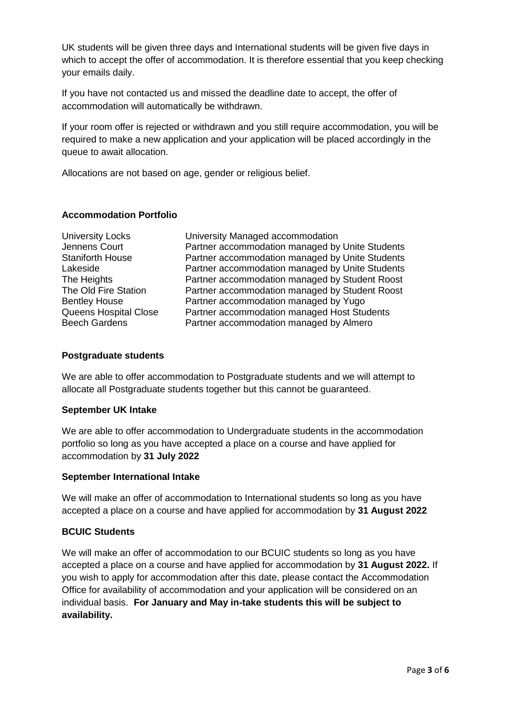UK students will be given three days and International students will be given five days in which to accept the offer of accommodation. It is therefore essential that you keep checking your emails daily.

If you have not contacted us and missed the deadline date to accept, the offer of accommodation will automatically be withdrawn.

If your room offer is rejected or withdrawn and you still require accommodation, you will be required to make a new application and your application will be placed accordingly in the queue to await allocation.

Allocations are not based on age, gender or religious belief.

#### **Accommodation Portfolio**

| University Managed accommodation                |
|-------------------------------------------------|
| Partner accommodation managed by Unite Students |
| Partner accommodation managed by Unite Students |
| Partner accommodation managed by Unite Students |
| Partner accommodation managed by Student Roost  |
| Partner accommodation managed by Student Roost  |
| Partner accommodation managed by Yugo           |
| Partner accommodation managed Host Students     |
| Partner accommodation managed by Almero         |
|                                                 |

#### **Postgraduate students**

We are able to offer accommodation to Postgraduate students and we will attempt to allocate all Postgraduate students together but this cannot be guaranteed.

## **September UK Intake**

We are able to offer accommodation to Undergraduate students in the accommodation portfolio so long as you have accepted a place on a course and have applied for accommodation by **31 July 2022**

#### **September International Intake**

We will make an offer of accommodation to International students so long as you have accepted a place on a course and have applied for accommodation by **31 August 2022**

## **BCUIC Students**

We will make an offer of accommodation to our BCUIC students so long as you have accepted a place on a course and have applied for accommodation by **31 August 2022.** If you wish to apply for accommodation after this date, please contact the Accommodation Office for availability of accommodation and your application will be considered on an individual basis. **For January and May in-take students this will be subject to availability.**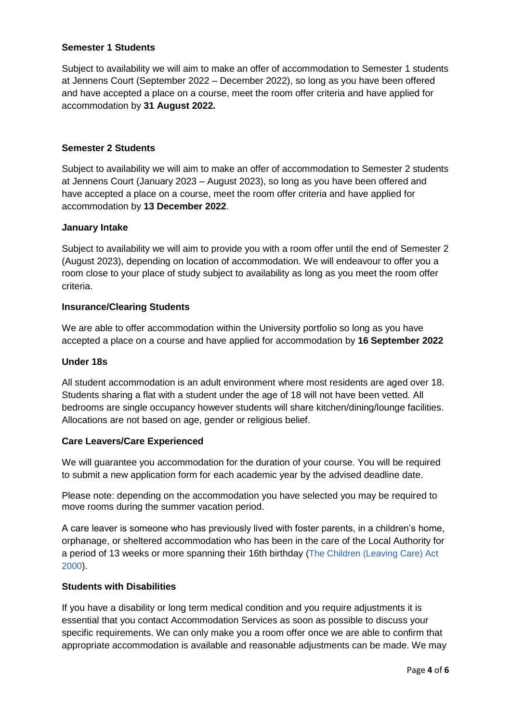## **Semester 1 Students**

Subject to availability we will aim to make an offer of accommodation to Semester 1 students at Jennens Court (September 2022 – December 2022), so long as you have been offered and have accepted a place on a course, meet the room offer criteria and have applied for accommodation by **31 August 2022.**

## **Semester 2 Students**

Subject to availability we will aim to make an offer of accommodation to Semester 2 students at Jennens Court (January 2023 – August 2023), so long as you have been offered and have accepted a place on a course, meet the room offer criteria and have applied for accommodation by **13 December 2022**.

#### **January Intake**

Subject to availability we will aim to provide you with a room offer until the end of Semester 2 (August 2023), depending on location of accommodation. We will endeavour to offer you a room close to your place of study subject to availability as long as you meet the room offer criteria.

## **Insurance/Clearing Students**

We are able to offer accommodation within the University portfolio so long as you have accepted a place on a course and have applied for accommodation by **16 September 2022**

## **Under 18s**

All student accommodation is an adult environment where most residents are aged over 18. Students sharing a flat with a student under the age of 18 will not have been vetted. All bedrooms are single occupancy however students will share kitchen/dining/lounge facilities. Allocations are not based on age, gender or religious belief.

## **Care Leavers/Care Experienced**

We will guarantee you accommodation for the duration of your course. You will be required to submit a new application form for each academic year by the advised deadline date.

Please note: depending on the accommodation you have selected you may be required to move rooms during the summer vacation period.

A care leaver is someone who has previously lived with foster parents, in a children's home, orphanage, or sheltered accommodation who has been in the care of the Local Authority for a period of 13 weeks or more spanning their 16th birthday (The Children [\(Leaving](http://webarchive.nationalarchives.gov.uk/20130107105354/http:/www.dh.gov.uk/prod_consum_dh/groups/dh_digitalassets/@dh/@en/documents/digitalasset/dh_4058600.pdf) Care) Act [2000](http://webarchive.nationalarchives.gov.uk/20130107105354/http:/www.dh.gov.uk/prod_consum_dh/groups/dh_digitalassets/@dh/@en/documents/digitalasset/dh_4058600.pdf)).

## **Students with Disabilities**

If you have a disability or long term medical condition and you require adjustments it is essential that you contact Accommodation Services as soon as possible to discuss your specific requirements. We can only make you a room offer once we are able to confirm that appropriate accommodation is available and reasonable adjustments can be made. We may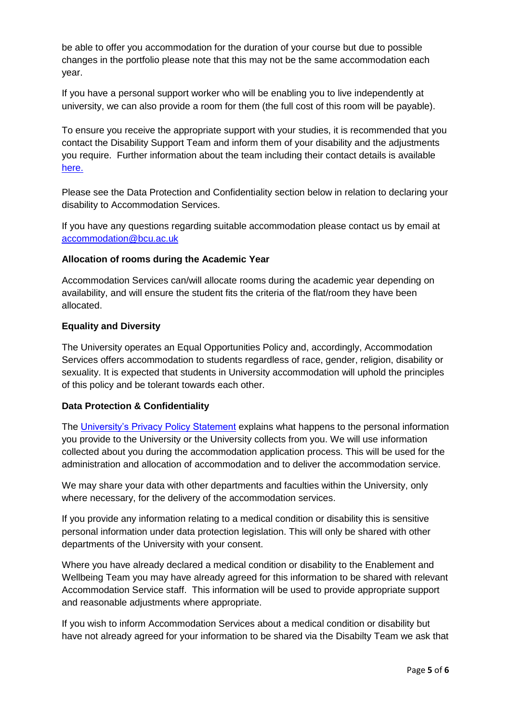be able to offer you accommodation for the duration of your course but due to possible changes in the portfolio please note that this may not be the same accommodation each year.

If you have a personal support worker who will be enabling you to live independently at university, we can also provide a room for them (the full cost of this room will be payable).

To ensure you receive the appropriate support with your studies, it is recommended that you contact the Disability Support Team and inform them of your disability and the adjustments you require. Further information about the team including their contact details is available [here.](https://www.bcu.ac.uk/student-info/student-support/disability-support)

Please see the Data Protection and Confidentiality section below in relation to declaring your disability to Accommodation Services.

If you have any questions regarding suitable accommodation please contact us by email at [accommodation@bcu.ac.uk](mailto:accommodation@bcu.ac.uk)

## **Allocation of rooms during the Academic Year**

Accommodation Services can/will allocate rooms during the academic year depending on availability, and will ensure the student fits the criteria of the flat/room they have been allocated.

## **Equality and Diversity**

The University operates an Equal Opportunities Policy and, accordingly, Accommodation Services offers accommodation to students regardless of race, gender, religion, disability or sexuality. It is expected that students in University accommodation will uphold the principles of this policy and be tolerant towards each other.

## **Data Protection & Confidentiality**

The [University's Privacy Policy Statement](https://www.bcu.ac.uk/about-us/corporate-information/policies-and-procedures/privacy-policy) explains what happens to the personal information you provide to the University or the University collects from you. We will use information collected about you during the accommodation application process. This will be used for the administration and allocation of accommodation and to deliver the accommodation service.

We may share your data with other departments and faculties within the University, only where necessary, for the delivery of the accommodation services.

If you provide any information relating to a medical condition or disability this is sensitive personal information under data protection legislation. This will only be shared with other departments of the University with your consent.

Where you have already declared a medical condition or disability to the Enablement and Wellbeing Team you may have already agreed for this information to be shared with relevant Accommodation Service staff. This information will be used to provide appropriate support and reasonable adjustments where appropriate.

If you wish to inform Accommodation Services about a medical condition or disability but have not already agreed for your information to be shared via the Disabilty Team we ask that